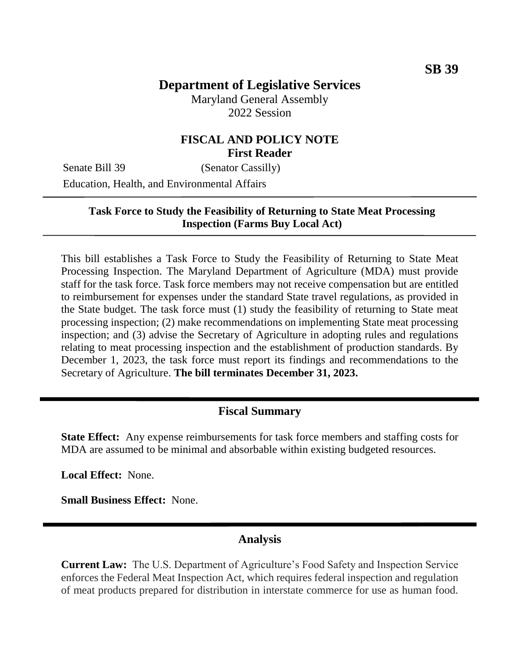# **Department of Legislative Services**

Maryland General Assembly 2022 Session

## **FISCAL AND POLICY NOTE First Reader**

Senate Bill 39 (Senator Cassilly) Education, Health, and Environmental Affairs

### **Task Force to Study the Feasibility of Returning to State Meat Processing Inspection (Farms Buy Local Act)**

This bill establishes a Task Force to Study the Feasibility of Returning to State Meat Processing Inspection. The Maryland Department of Agriculture (MDA) must provide staff for the task force. Task force members may not receive compensation but are entitled to reimbursement for expenses under the standard State travel regulations, as provided in the State budget. The task force must (1) study the feasibility of returning to State meat processing inspection; (2) make recommendations on implementing State meat processing inspection; and (3) advise the Secretary of Agriculture in adopting rules and regulations relating to meat processing inspection and the establishment of production standards. By December 1, 2023, the task force must report its findings and recommendations to the Secretary of Agriculture. **The bill terminates December 31, 2023.**

#### **Fiscal Summary**

**State Effect:** Any expense reimbursements for task force members and staffing costs for MDA are assumed to be minimal and absorbable within existing budgeted resources.

**Local Effect:** None.

**Small Business Effect:** None.

#### **Analysis**

**Current Law:** The U.S. Department of Agriculture's Food Safety and Inspection Service enforces the Federal Meat Inspection Act, which requires federal inspection and regulation of meat products prepared for distribution in interstate commerce for use as human food.